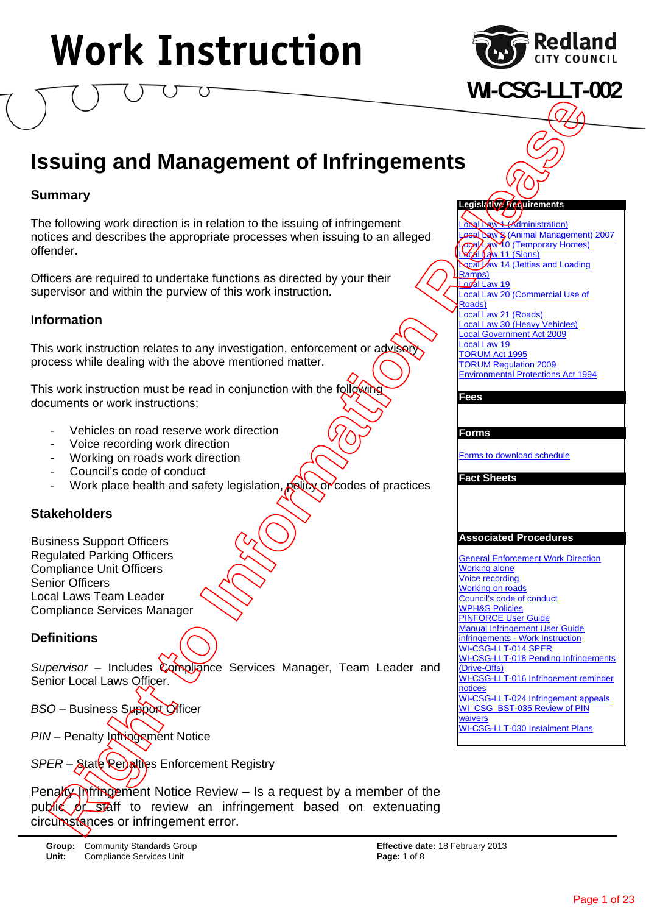

**WI-CSG-LLT-002**

### **Issuing and Management of Infringements**

### **Summary**

The following work direction is in relation to the issuing of infringement notices and describes the appropriate processes when issuing to an alleged offender.

Officers are required to undertake functions as directed by your their supervisor and within the purview of this work instruction.

### **Information**

This work instruction relates to any investigation, enforcement or advisory process while dealing with the above mentioned matter.

This work instruction must be read in conjunction with the following documents or work instructions;

- Vehicles on road reserve work direction
- Voice recording work direction
- Working on roads work direction
- Council's code of conduct
- Work place health and safety legislation, policy or codes of practices

### **Stakeholders**

Business Support Officers Regulated Parking Officers Compliance Unit Officers Senior Officers Local Laws Team Leader Compliance Services Manager

### **Definitions**

*Supervisor* – Includes Compliance Services Manager, Team Leader and Senior Local Laws Officer.

**BSO** – Business Support Officer

*PIN* – Penalty Infringement Notice

*SPER* – State **Repalties Enforcement Registry** 

Penalty Infringement Notice Review  $-$  Is a request by a member of the public of staff to review an infringement based on extenuating



**L**(Administration) **Local Law 3 (Animal Management) 2007 Cal Law 10 (Temporary Homes)**  $L$  $c$   $\overline{A}$   $\overline{L}$  aw 11 (Signs) **Local Law 14 (Jetties and Loading** Ramps) Local Law 19 Local Law 20 (Commercial Use of Roads) Local Law 21 (Roads) Local Law 30 (Heavy Vehicles) Local Government Act 2009 Local Law 19 TORUM Act 1995 TORUM Regulation 2009 Environmental Protections Act 1994

#### **Fees**

#### **Forms**

Forms to download schedule

#### **Fact Sheets**

#### **Associated Procedures**

General Enforcement Work Direction Working alone Voice recording Working on roads Council's code of conduct WPH&S Policies PINFORCE User Guide Manual Infringement User Guide infringements - Work Instruction WI-CSG-LLT-014 SPER WI-CSG-LLT-018 Pending Infringements (Drive-Offs) WI-CSG-LLT-016 Infringement reminder notices WI-CSG-LLT-024 Infringement appeals WI\_CSG\_BST-035 Review of PIN waivers WI-CSG-LLT-030 Instalment Plans Contract of the method of the contract or information of the method of the method of the method of the method of the method of the method of the method of the method of the method of the method of the method of the method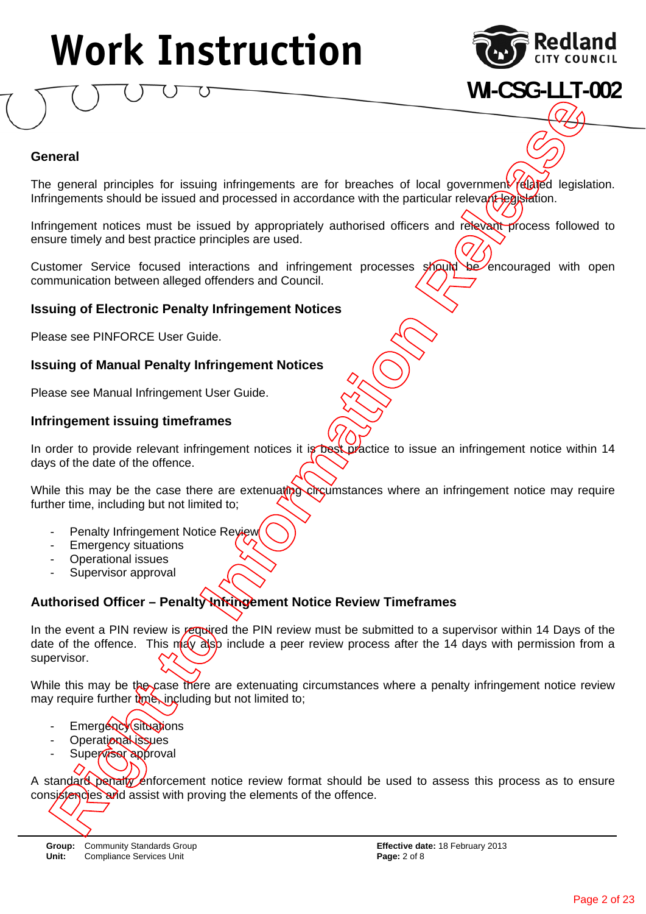

**WI-CSG-LLT-002**

#### **General**

The general principles for issuing infringements are for breaches of local government related legislation. Infringements should be issued and processed in accordance with the particular relevant legislation.

Infringement notices must be issued by appropriately authorised officers and relevant process followed to ensure timely and best practice principles are used.

Customer Service focused interactions and infringement processes should be encouraged with open communication between alleged offenders and Council.

#### **Issuing of Electronic Penalty Infringement Notices**

Please see PINFORCE User Guide.

#### **Issuing of Manual Penalty Infringement Notices**

Please see Manual Infringement User Guide.

#### **Infringement issuing timeframes**

In order to provide relevant infringement notices it is best practice to issue an infringement notice within 14 days of the date of the offence.

While this may be the case there are extenuating circumstances where an infringement notice may require further time, including but not limited to;

- Penalty Infringement Notice Review
- **Emergency situations**
- Operational issues
- Supervisor approval

### **Authorised Officer – Penalty Infringement Notice Review Timeframes**

In the event a PIN review is required the PIN review must be submitted to a supervisor within 14 Days of the date of the offence. This may also include a peer review process after the 14 days with permission from a supervisor. Constrained proving interaction of the original province and assistence of the original province and assistence and associated interaction interaction interaction and the province of the original province interaction and i

While this may be the case there are extenuating circumstances where a penalty infringement notice review may require further time, including but not limited to;

- Emergency situations
- Operational issues
- Supervisor approval
- 

A standard penalty enforcement notice review format should be used to assess this process as to ensure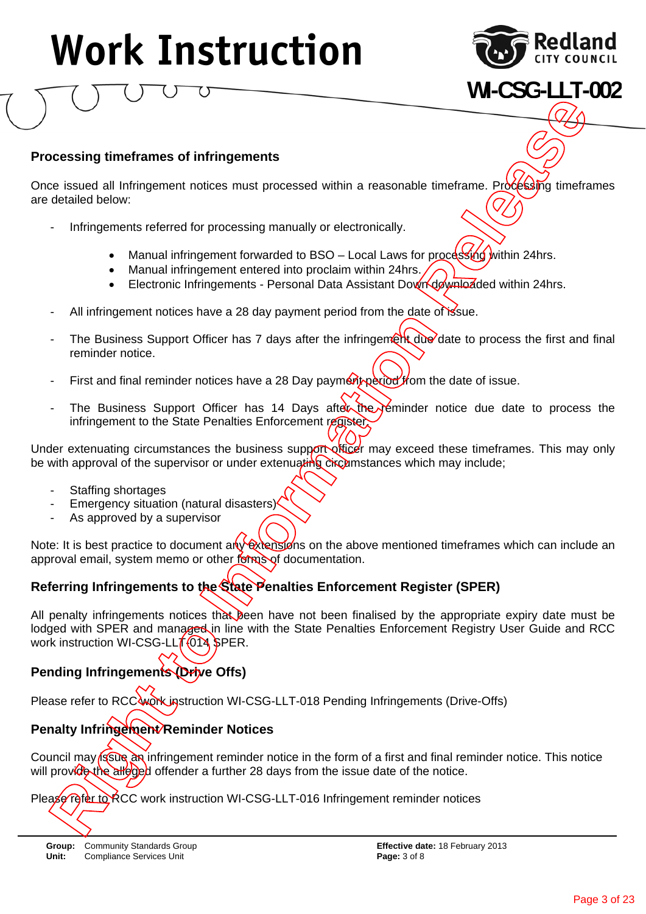

**WI-CSG-LLT-002**

### **Processing timeframes of infringements**

Once issued all Infringement notices must processed within a reasonable timeframe. Processing timeframes are detailed below:

- Infringements referred for processing manually or electronically.
	- Manual infringement forwarded to BSO Local Laws for processing within 24hrs.
	- Manual infringement entered into proclaim within 24hrs.
	- Electronic Infringements Personal Data Assistant Down downloaded within 24hrs.
- All infringement notices have a 28 day payment period from the date of issue.
- The Business Support Officer has 7 days after the infringement due date to process the first and final reminder notice.
- First and final reminder notices have a 28 Day payment period from the date of issue.
- The Business Support Officer has 14 Days after the reminder notice due date to process the infringement to the State Penalties Enforcement register.

Under extenuating circumstances the business support officer may exceed these timeframes. This may only be with approval of the supervisor or under extenuating circumstances which may include;

- Staffing shortages
- Emergency situation (natural disasters)
- As approved by a supervisor

Note: It is best practice to document any extensions on the above mentioned timeframes which can include an approval email, system memo or other forms of documentation.

### **Referring Infringements to the State Penalties Enforcement Register (SPER)**

All penalty infringements notices that been have not been finalised by the appropriate expiry date must be lodged with SPER and managed in line with the State Penalties Enforcement Registry User Guide and RCC work instruction WI-CSG-LLT-014 SPER. Processing timeframes of infringements<br>
Once seales all interapment reduces must processed within a reasonable timeframe. Profiting<br>
infringement forcerod to processing monually or obcirconcially.<br>
Infiningement forcerod t

### **Pending Infringements (Drive Offs)**

Please refer to RCC work instruction WI-CSG-LLT-018 Pending Infringements (Drive-Offs)

### **Penalty Infringement/Reminder Notices**

Council may issue an infringement reminder notice in the form of a first and final reminder notice. This notice will provide the alleged offender a further 28 days from the issue date of the notice.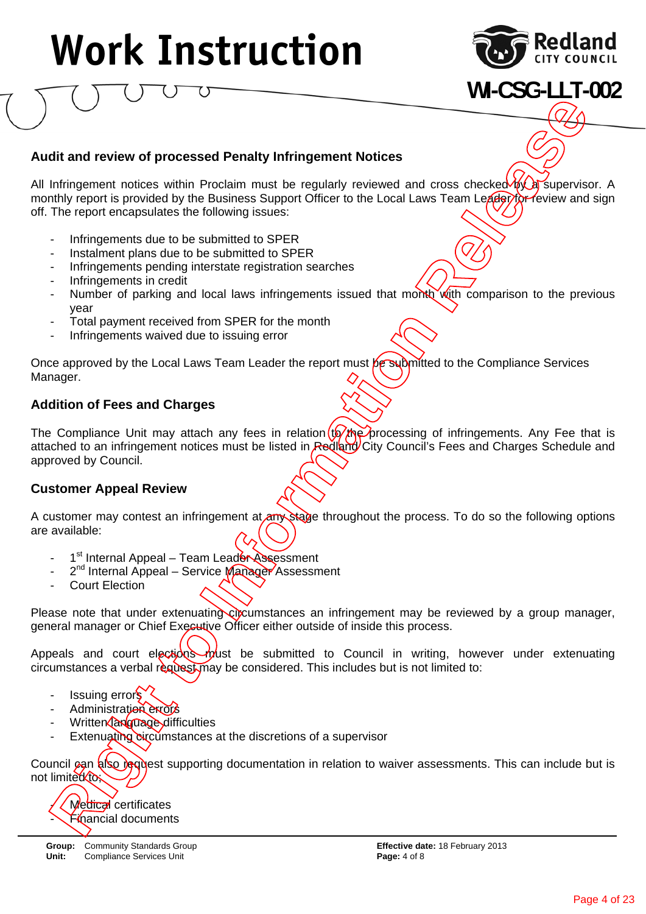

### **WI-CSG-LLT-002**

### **Audit and review of processed Penalty Infringement Notices**

All Infringement notices within Proclaim must be regularly reviewed and cross checked  $\frac{1}{4}$  a supervisor. A monthly report is provided by the Business Support Officer to the Local Laws Team Leader for review and sign off. The report encapsulates the following issues:

- Infringements due to be submitted to SPER
- Instalment plans due to be submitted to SPER
- Infringements pending interstate registration searches
- Infringements in credit
- Number of parking and local laws infringements issued that month with comparison to the previous year
- Total payment received from SPER for the month
- Infringements waived due to issuing error

Once approved by the Local Laws Team Leader the report must be submitted to the Compliance Services Manager.

### **Addition of Fees and Charges**

The Compliance Unit may attach any fees in relation  $(b)$  the processing of infringements. Any Fee that is attached to an infringement notices must be listed in Redland City Council's Fees and Charges Schedule and approved by Council. dit and review of processed Penalty Infringement Notices<br>Introppenent notices within Produin must be regularly reviewed and cross checked Willy reviews contributions<br>this report is provided by the Business Support Officer

### **Customer Appeal Review**

A customer may contest an infringement at any stage throughout the process. To do so the following options are available:

- 1<sup>st</sup> Internal Appeal Team Leader Assessment
- 2<sup>nd</sup> Internal Appeal Service Manager Assessment
- Court Election

Please note that under extenuating cipcumstances an infringement may be reviewed by a group manager, general manager or Chief Executive Officer either outside of inside this process.

Appeals and court elections must be submitted to Council in writing, however under extenuating circumstances a verbal request may be considered. This includes but is not limited to:

- Issuing errors
- Administration errors
- Written *anguage* difficulties
- Extenuating circumstances at the discretions of a supervisor

Council can also request supporting documentation in relation to waiver assessments. This can include but is not limited to;

### Medical certificates

**Group:** Community Standards Group **Effective date:** 18 February 2013 **Unit:** Compliance Services Unit **Page: 4 of 8 Page: 4 of 8**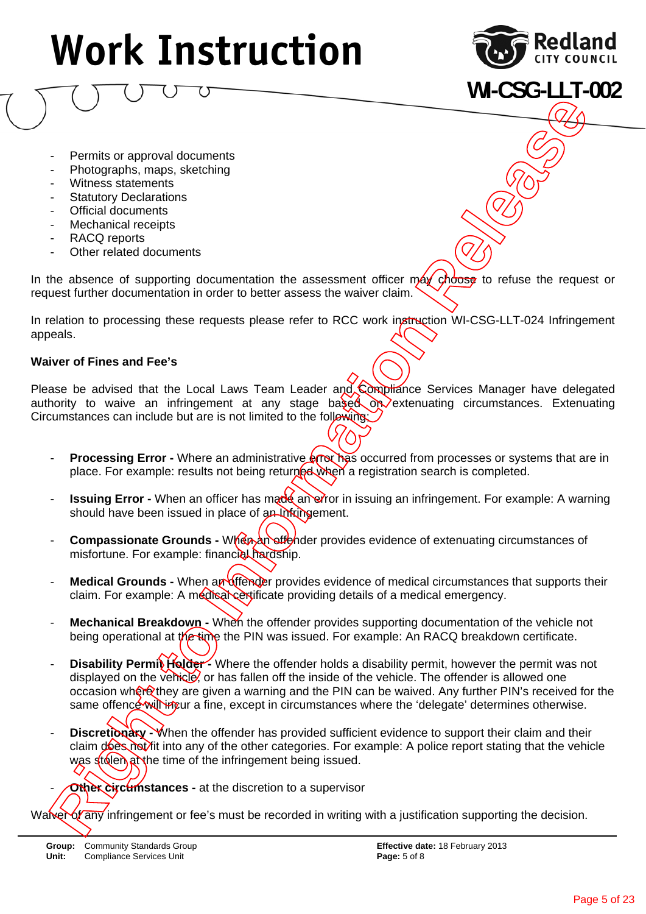

**WI-CSG-LLT-002**

- Permits or approval documents
- Photographs, maps, sketching
- Witness statements
- **Statutory Declarations**
- Official documents
- Mechanical receipts
- RACQ reports
- Other related documents

In the absence of supporting documentation the assessment officer  $max$  ghoose to refuse the request or request further documentation in order to better assess the waiver claim.

In relation to processing these requests please refer to RCC work instruction WI-CSG-LLT-024 Infringement appeals.

#### **Waiver of Fines and Fee's**

Please be advised that the Local Laws Team Leader and Compliance Services Manager have delegated authority to waive an infringement at any stage based on extenuating circumstances. Extenuating Circumstances can include but are is not limited to the following

- **Processing Error -** Where an administrative **error has occurred from processes or systems that are in** place. For example: results not being returned when a registration search is completed.
- **Issuing Error -** When an officer has made an error in issuing an infringement. For example: A warning should have been issued in place of an Infringement.
- **Compassionate Grounds When an offender provides evidence of extenuating circumstances of** misfortune. For example: financial hardship.
- Medical Grounds When an offender provides evidence of medical circumstances that supports their claim. For example: A medical certificate providing details of a medical emergency.
- **Mechanical Breakdown** When the offender provides supporting documentation of the vehicle not being operational at the time the PIN was issued. For example: An RACQ breakdown certificate.
- **Disability Permit Holder -** Where the offender holds a disability permit, however the permit was not displayed on the vehicle, or has fallen off the inside of the vehicle. The offender is allowed one occasion where they are given a warning and the PIN can be waived. Any further PIN's received for the same offence will incur a fine, except in circumstances where the 'delegate' determines otherwise. Formits or approval documents<br>
Environment or approximation the state of any information of the relationship of the relationship of the relationship of the relation of any single behavior of any single process in the relat
	- **Discretionary When the offender has provided sufficient evidence to support their claim and their** claim does not fit into any of the other categories. For example: A police report stating that the vehicle was stolen at the time of the infringement being issued.
	- **Other circumstances -** at the discretion to a supervisor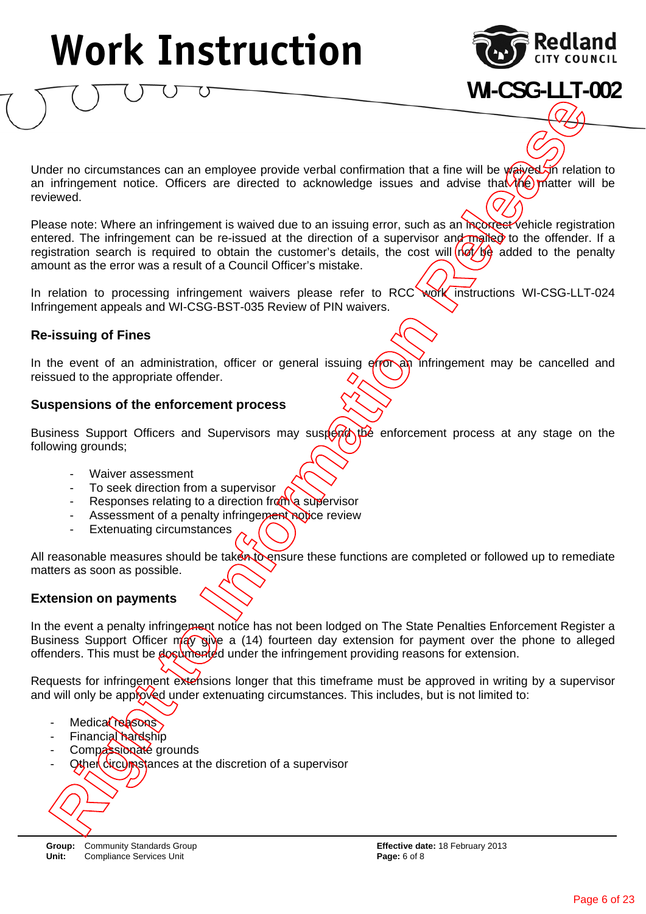

**WI-CSG-LLT-002**

Under no circumstances can an employee provide verbal confirmation that a fine will be waived in relation to an infringement notice. Officers are directed to acknowledge issues and advise that  $\hat{h}(e)$  matter will be reviewed.

Please note: Where an infringement is waived due to an issuing error, such as an incorrect vehicle registration entered. The infringement can be re-issued at the direction of a supervisor and mailed to the offender. If a registration search is required to obtain the customer's details, the cost will  $\left(\frac{1}{\sqrt{2}}\right)$  added to the penalty amount as the error was a result of a Council Officer's mistake. **Relations and the information Constrainer**<br> **Right of the Constrainer Constrainer in the constrainer of the constrainer of the constrainer of the constrainer of the constrainer of the constrainer of the constrainer of the** 

In relation to processing infringement waivers please refer to RCC work instructions WI-CSG-LLT-024 Infringement appeals and WI-CSG-BST-035 Review of PIN waivers.

#### **Re-issuing of Fines**

In the event of an administration, officer or general issuing  $\frac{f}{f}$  infringement may be cancelled and reissued to the appropriate offender.

#### **Suspensions of the enforcement process**

Business Support Officers and Supervisors may suspertable enforcement process at any stage on the following grounds;

- Waiver assessment
- To seek direction from a supervisor
- Responses relating to a direction from a supervisor
- Assessment of a penalty infringement notice review
- Extenuating circumstances

All reasonable measures should be taken to ensure these functions are completed or followed up to remediate matters as soon as possible.

#### **Extension on payments**

In the event a penalty infringement notice has not been lodged on The State Penalties Enforcement Register a Business Support Officer  $m/qy$  give a (14) fourteen day extension for payment over the phone to alleged offenders. This must be documented under the infringement providing reasons for extension.

Requests for infringement extensions longer that this timeframe must be approved in writing by a supervisor and will only be approved under extenuating circumstances. This includes, but is not limited to:

- Medical reasons
- Financial hardship
- Compassionate grounds
- Other circumstances at the discretion of a supervisor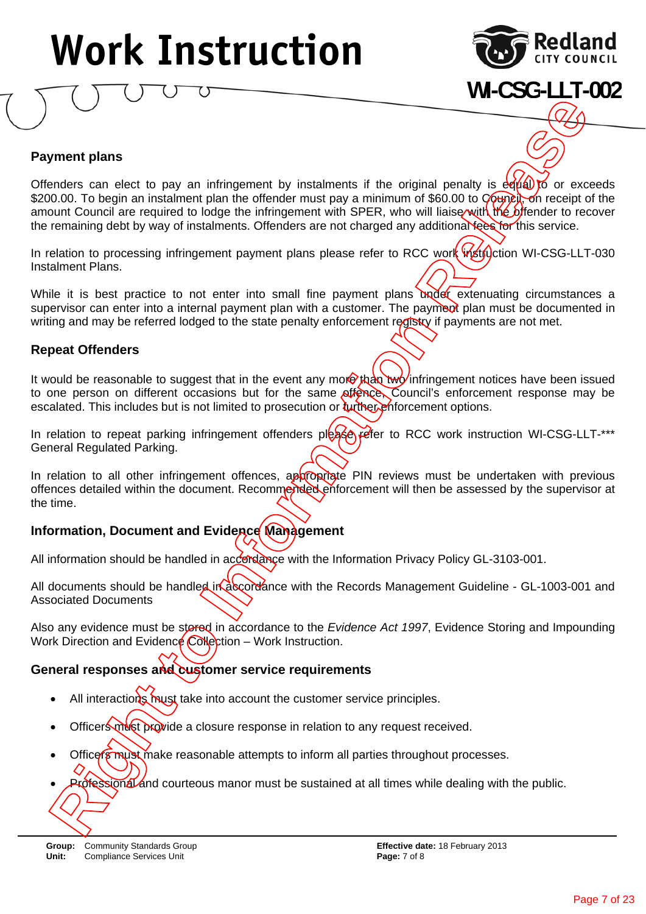

**WI-CSG-LLT-002**

### **Payment plans**

Offenders can elect to pay an infringement by instalments if the original penalty is  $\frac{d}{d\theta}$  of exceeds \$200.00. To begin an instalment plan the offender must pay a minimum of \$60.00 to Council, on receipt of the amount Council are required to lodge the infringement with SPER, who will liaise with the offender to recover the remaining debt by way of instalments. Offenders are not charged any additional fees for this service. **Professional and courter is and courter and courtes manor must be sustained at all times while dealing with the public.**<br> **And the final and courtes in the defect must pay animized at all times of the public of space of t** 

In relation to processing infringement payment plans please refer to RCC work instruction WI-CSG-LLT-030 Instalment Plans.

While it is best practice to not enter into small fine payment plans under extenuating circumstances a supervisor can enter into a internal payment plan with a customer. The payment plan must be documented in writing and may be referred lodged to the state penalty enforcement registry if payments are not met.

#### **Repeat Offenders**

It would be reasonable to suggest that in the event any more than two infringement notices have been issued to one person on different occasions but for the same offence, Council's enforcement response may be escalated. This includes but is not limited to prosecution or turther enforcement options.

In relation to repeat parking infringement offenders please refer to RCC work instruction WI-CSG-LLT-\*\*\* General Regulated Parking.

In relation to all other infringement offences, appropriate PIN reviews must be undertaken with previous offences detailed within the document. Recommended enforcement will then be assessed by the supervisor at the time.

### **Information, Document and Evidence Management**

All information should be handled in accordance with the Information Privacy Policy GL-3103-001.

All documents should be handled in accordance with the Records Management Guideline - GL-1003-001 and Associated Documents

Also any evidence must be stored in accordance to the *Evidence Act 1997*, Evidence Storing and Impounding Work Direction and Evidence Collection – Work Instruction.

### **General responses and customer service requirements**

- All interactions must take into account the customer service principles.
- Officers must provide a closure response in relation to any request received.
- Officers must make reasonable attempts to inform all parties throughout processes.
-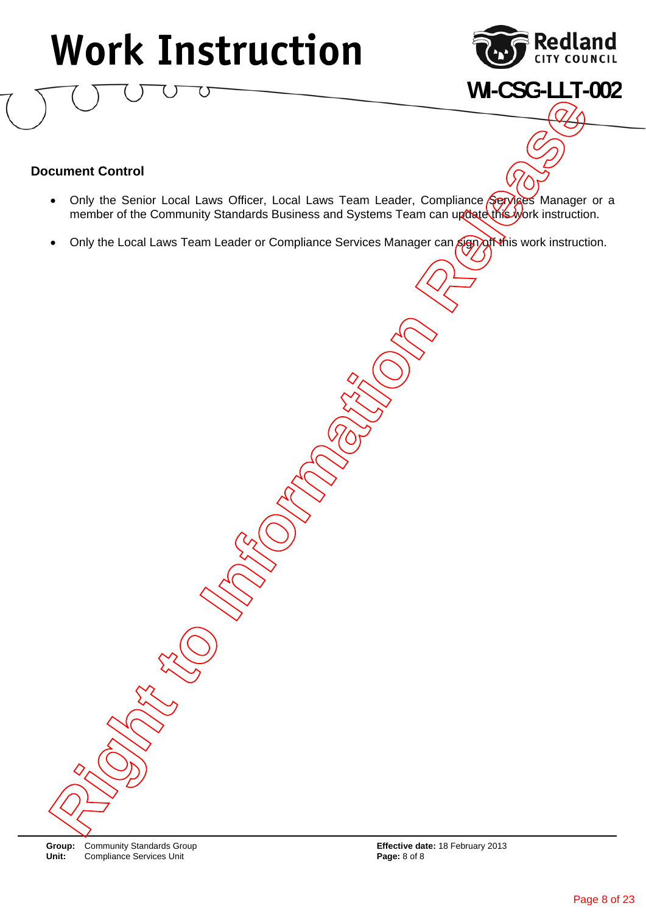

**WI-CSG-LLT-002**

### **Document Control**

- Only the Senior Local Laws Officer, Local Laws Team Leader, Compliance Services Manager or a member of the Community Standards Business and Systems Team can update this work instruction. **Right Torrital**<br> **Right Torrital**<br> **Right of Statistic Local Laws Officer, Local Laws Team Leader, Compliance Gypther Manager of<br>
Only the Local Laws Team Leader of Compliance Services Manager and Compliance Internation.<br>**
- Only the Local Laws Team Leader or Compliance Services Manager can sign of this work instruction.

**Group:** Community Standards Group **Effective date: 18 February 2013**<br> **Unit:** Compliance Services Unit **Example 2014 Effective date: 18 February 2013**  $Compliance$  Services Unit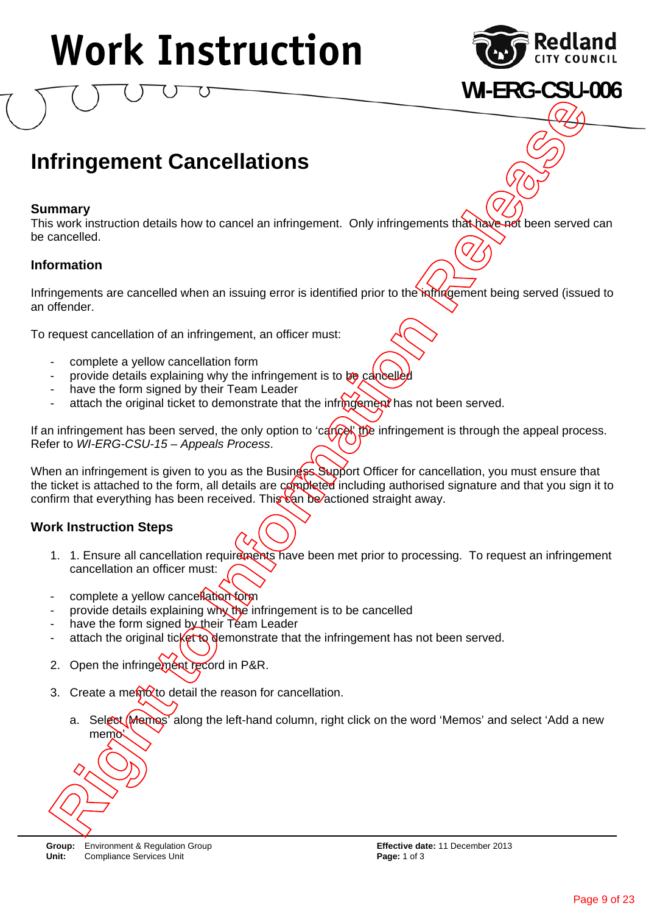

**WI-ERG-CSU-006**

### **Infringement Cancellations**

#### **Summary**

This work instruction details how to cancel an infringement. Only infringements that have not been served can be cancelled.

#### **Information**

Infringements are cancelled when an issuing error is identified prior to the infringement being served (issued to an offender.

To request cancellation of an infringement, an officer must:

- complete a yellow cancellation form
- provide details explaining why the infringement is to  $p_{\theta}$  cancelle
- have the form signed by their Team Leader
- attach the original ticket to demonstrate that the infrigology has not been served.

If an infringement has been served, the only option to 'cancel' the infringement is through the appeal process. Refer to *WI-ERG-CSU-15 – Appeals Process*.

When an infringement is given to you as the Business Support Officer for cancellation, you must ensure that the ticket is attached to the form, all details are completed including authorised signature and that you sign it to confirm that everything has been received. This  $c$  and be actioned straight away. **Fringement Cancellations**<br>
The work instruction details how to cancel an infringement. Only infringements this house a served cancelled.<br>
Income a serve instruction details how to cancel an infringement. Only infringement

#### **Work Instruction Steps**

- 1. 1. Ensure all cancellation requirements have been met prior to processing. To request an infringement cancellation an officer must:
- complete a yellow cancellation form
- provide details explaining why the infringement is to be cancelled
- have the form signed by their Team Leader
- attach the original ticket to demonstrate that the infringement has not been served.
- 2. Open the infringement record in P&R.
- 3. Create a memo*to* detail the reason for cancellation.
	- a. Select (Memos' along the left-hand column, right click on the word 'Memos' and select 'Add a new memo<sup>'</sup>



**Group:** Environment & Regulation Group **Effective date:** 11 December 2013 **Unit:** Compliance Services Unit **Page: 1** of 3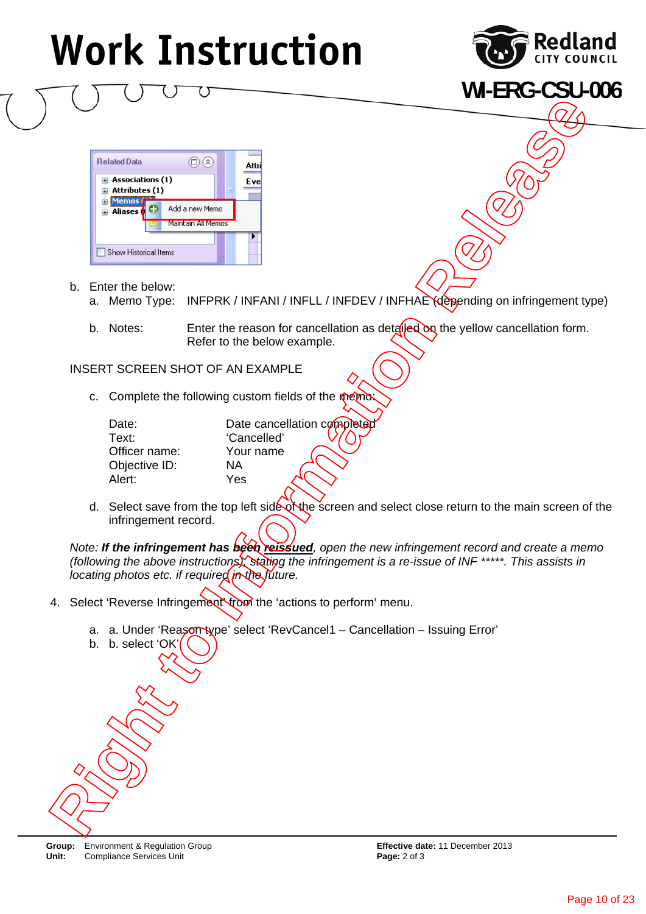

**WI-ERG-CSU-006**



- b. Enter the below:
	- a. Memo Type: INFPRK / INFANI / INFLL / INFDEV / INFHAE (depending on infringement type)
	- b. Notes: Enter the reason for cancellation as detailed on the yellow cancellation form. Refer to the below example.

INSERT SCREEN SHOT OF AN EXAMPLE

c. Complete the following custom fields of the memo

| Date:         | Date cancellation completed |
|---------------|-----------------------------|
| Text:         | 'Cancelled'                 |
| Officer name: | Your name                   |
| Objective ID: | ΝA                          |
| Alert:        | Yes                         |
|               |                             |

d. Select save from the top left side of the screen and select close return to the main screen of the infringement record.

*Note: If the infringement has been reissued, open the new infringement record and create a memo (following the above instructions), stating the infringement is a re-issue of INF \*\*\*\*\*. This assists in locating photos etc. if required in the future.* 

- 4. Select 'Reverse Infringement' from the 'actions to perform' menu.
	- a. a. Under 'Reason type' select 'RevCancel1 Cancellation Issuing Error'



b. b. select 'OK'

**Group:** Environment & Regulation Group **Effective date:** 11 December 2013 **Unit:** Compliance Services Unit **Page: 2 of 3 Page: 2 of 3**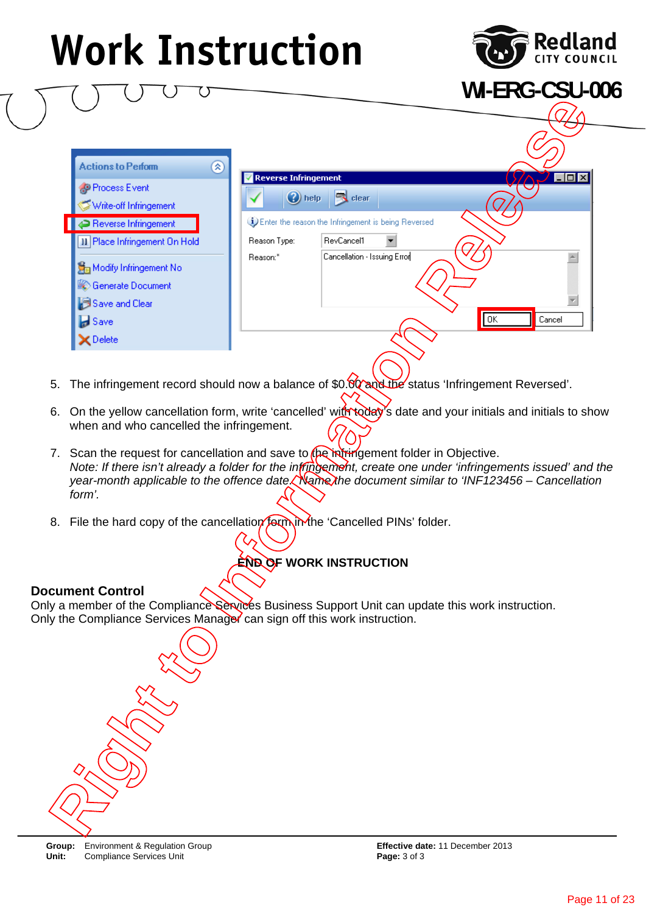

**WI-ERG-CSU-006**

**Release to Find the Complete Caroling Principal Conditions (Condition Release Prior Condition Release Prior Condition Release Prior Caroling Prior Caroling Prior Caroling Prior Caroling Prior Caroling Prior Caroling Prior** 

- 5. The infringement record should now a balance of \$0.00 and the status 'Infringement Reversed'.
- 6. On the yellow cancellation form, write 'cancelled' with today's date and your initials and initials to show when and who cancelled the infringement.
- 7. Scan the request for cancellation and save to the infringement folder in Objective. *Note: If there isn't already a folder for the infringement, create one under 'infringements issued' and the year-month applicable to the offence date. Name the document similar to 'INF123456 – Cancellation form'.*
- 8. File the hard copy of the cancellation form in the 'Cancelled PINs' folder.

### **END OF WORK INSTRUCTION**

#### **Document Control**

Only a member of the Compliance Services Business Support Unit can update this work instruction. Only the Compliance Services Manager can sign off this work instruction.



**Group:** Environment & Regulation Group **Effective date:** 11 December 2013 **Unit:** Compliance Services Unit **Page: 3 of 3**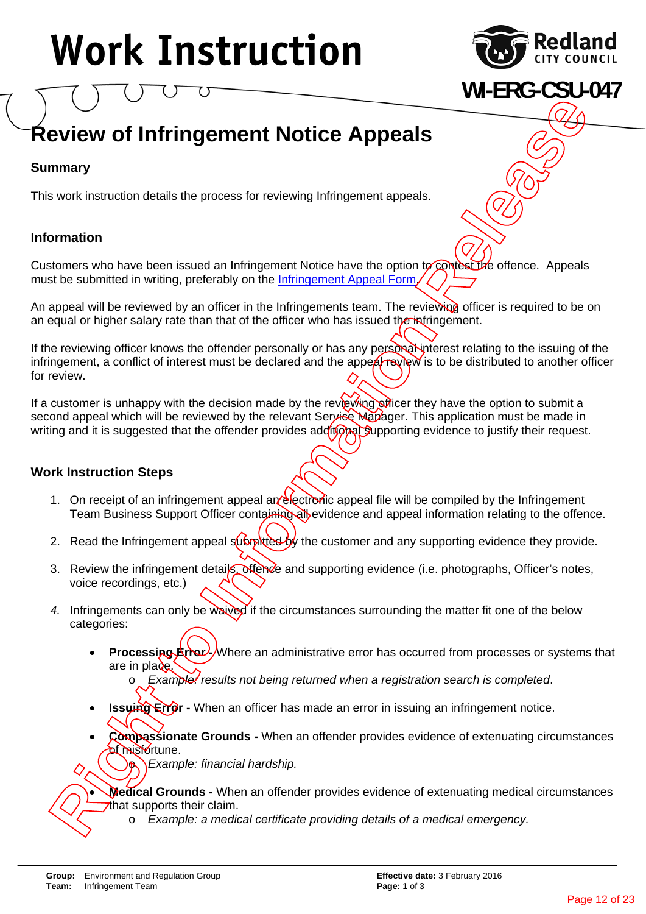

**WI-ERG-CSU-047**

### **Review of Infringement Notice Appeals**

### **Summary**

This work instruction details the process for reviewing Infringement appeals.

### **Information**

Customers who have been issued an Infringement Notice have the option to contest the offence. Appeals must be submitted in writing, preferably on the Infringement Appeal Form/

An appeal will be reviewed by an officer in the Infringements team. The reviewing officer is required to be on an equal or higher salary rate than that of the officer who has issued the infringement.

If the reviewing officer knows the offender personally or has any personal interest relating to the issuing of the infringement, a conflict of interest must be declared and the appeal review is to be distributed to another officer for review. **iew of Infringement Notice Appeals**<br> **iew of Infringement Notice Appeals**<br> **is instruction details the process for reviewing Infringement aspeals.**<br> **is in which we been issued an Infringement Notice Pare the option of Co** 

If a customer is unhappy with the decision made by the reviewing officer they have the option to submit a second appeal which will be reviewed by the relevant Service Manager. This application must be made in writing and it is suggested that the offender provides additional supporting evidence to justify their request.

### **Work Instruction Steps**

- 1. On receipt of an infringement appeal an electronic appeal file will be compiled by the Infringement Team Business Support Officer containing all evidence and appeal information relating to the offence.
- 2. Read the Infringement appeal  $\frac{d}{dx}$  the customer and any supporting evidence they provide.
- 3. Review the infringement details, oftence and supporting evidence (i.e. photographs, Officer's notes, voice recordings, etc.)
- 4. Infringements can only be waived if the circumstances surrounding the matter fit one of the below categories:
	- **Processing**  $\frac{R}{2}$  Where an administrative error has occurred from processes or systems that are in place.

o *Example: results not being returned when a registration search is completed*.

- **Issuing Error -** When an officer has made an error in issuing an infringement notice.
- **Compassionate Grounds** When an offender provides evidence of extenuating circumstances **at misfortune.**

**b** *Example: financial hardship.* 

**Medical Grounds -** When an offender provides evidence of extenuating medical circumstances<br>that supports their claim.<br>**Ro** *Example: a medical certificate providing details of a medical emergency.*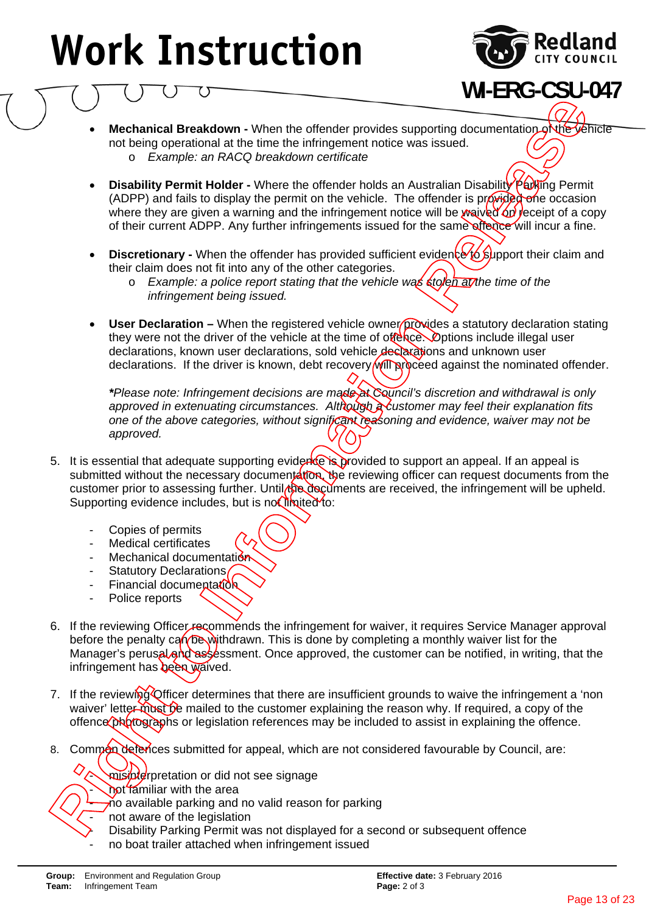

### **WI-ERG-CSU-047**

- **Mechanical Breakdown -** When the offender provides supporting documentation of the vehicle not being operational at the time the infringement notice was issued. o *Example: an RACQ breakdown certificate*
- **Disability Permit Holder -** Where the offender holds an Australian Disability Parking Permit (ADPP) and fails to display the permit on the vehicle. The offender is provided one occasion where they are given a warning and the infringement notice will be waived on receipt of a copy of their current ADPP. Any further infringements issued for the same offence will incur a fine.
- **Discretionary -** When the offender has provided sufficient evidence to support their claim and their claim does not fit into any of the other categories.
	- o *Example: a police report stating that the vehicle was stolen at the time of the infringement being issued.*
- **User Declaration –** When the registered vehicle owner provides a statutory declaration stating they were not the driver of the vehicle at the time of offence. Options include illegal user declarations, known user declarations, sold vehicle declarations and unknown user declarations. If the driver is known, debt recovery will proceed against the nominated offender.

*\*Please note: Infringement decisions are made at Council's discretion and withdrawal is only approved in extenuating circumstances. Although a customer may feel their explanation fits one of the above categories, without significant reasoning and evidence, waiver may not be approved.*

- 5. It is essential that adequate supporting evidence is provided to support an appeal. If an appeal is submitted without the necessary documentation, the reviewing officer can request documents from the customer prior to assessing further. Until the decuments are received, the infringement will be upheld. Supporting evidence includes, but is not limited to:
	- Copies of permits
	- Medical certificates
	- Mechanical documentation
	- Statutory Declarations/
	- Financial documentation
	- Police reports
- 6. If the reviewing Officer recommends the infringement for waiver, it requires Service Manager approval before the penalty can be withdrawn. This is done by completing a monthly waiver list for the Manager's perusal and assessment. Once approved, the customer can be notified, in writing, that the infringement has been waived. **is the interest of the interest of the interest of the interest of the interest of the interest of the interest of the interest of the interest of the interest of the interest of the interest of the interest of the intere**
- 7. If the reviewing Officer determines that there are insufficient grounds to waive the infringement a 'non waiver' letter must be mailed to the customer explaining the reason why. If required, a copy of the offence photographs or legislation references may be included to assist in explaining the offence.
- 8. Common defences submitted for appeal, which are not considered favourable by Council, are:
	- misinterpretation or did not see signage
	- not familiar with the area
	- $\frac{1}{2}$  no available parking and no valid reason for parking
	- not aware of the legislation
	- Disability Parking Permit was not displayed for a second or subsequent offence
	- no boat trailer attached when infringement issued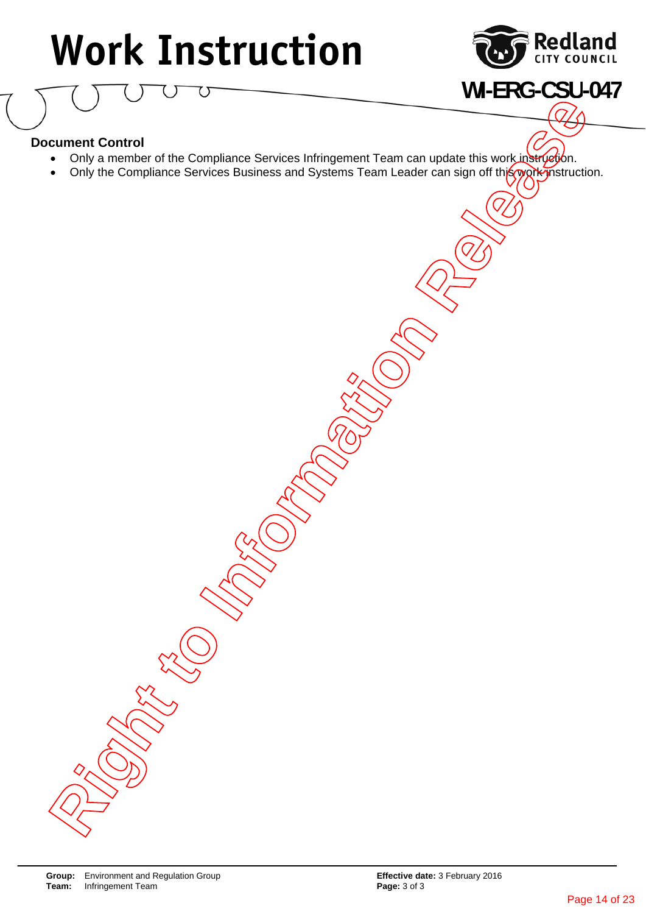

**WI-ERG-CSU-047**

### **Document Control**

- Only a member of the Compliance Services Infringement Team can update this work instruction.
- Only the Compliance Services Business and Systems Team Leader can sign off this work instruction. **Right Control**<br> **Right Control of the Compliance Services Infinitenent Team can update this work in Service Control of the Compliance Services Business and Systems Team Leader can sign off the Compliance Convices Business**

**Group:** Environment and Regulation Group **Effective date: 3 February 2016**<br> **Team:** Infringement Team **Example 2016**<br> **Page: 3 of 3 Infringement Team**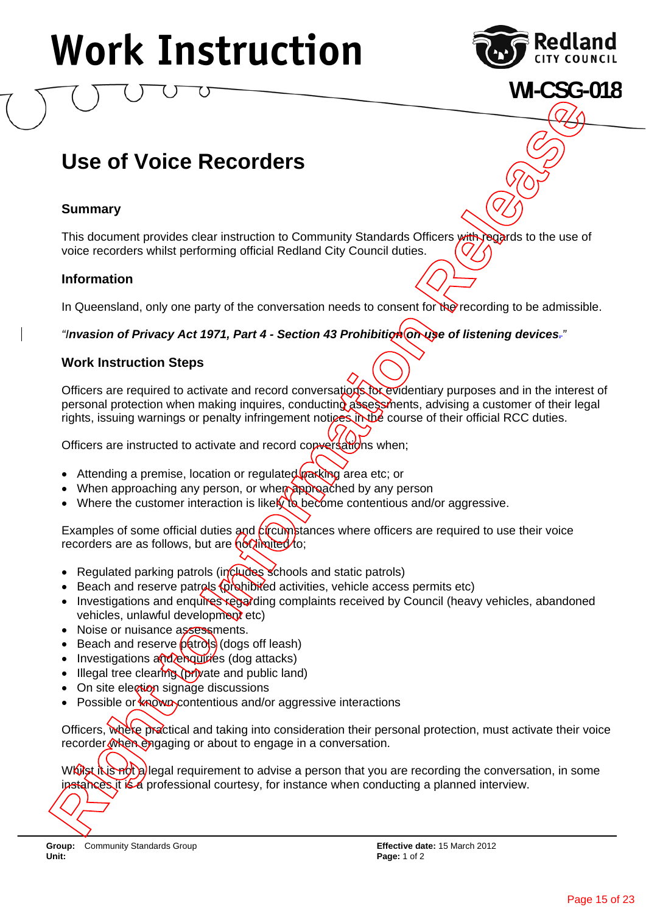

**WI-CSG-018**

### **Use of Voice Recorders**

#### **Summary**

This document provides clear instruction to Community Standards Officers with regards to the use of voice recorders whilst performing official Redland City Council duties.

#### **Information**

In Queensland, only one party of the conversation needs to consent for the recording to be admissible.

*"Invasion of Privacy Act 1971, Part 4 - Section 43 Prohibition on use of listening devices."* 

#### **Work Instruction Steps**

Officers are required to activate and record conversations for evidentiary purposes and in the interest of personal protection when making inquires, conducting assessments, advising a customer of their legal rights, issuing warnings or penalty infringement notices in the course of their official RCC duties. **is a courtesy of the courtesy of the courtesy of the courtesy of the second professional conduction**<br>
This document provides clear instruction to Community Standards Cristers with provides to the use of<br>
voice recorders w

Officers are instructed to activate and record conversations when;

- Attending a premise, location or regulated  $\frac{1}{2}$  area etc; or
- When approaching any person, or when approached by any person
- Where the customer interaction is likely to become contentious and/or aggressive.

Examples of some official duties and *circumstances* where officers are required to use their voice recorders are as follows, but are  $\frac{\frac{1}{10}}{\frac{1}{10}}$ 

- Regulated parking patrols (includes schools and static patrols)
- Beach and reserve patrols  $\oint \phi$  representativities, vehicle access permits etc)
- Investigations and enquires regarding complaints received by Council (heavy vehicles, abandoned vehicles, unlawful development etc)
- Noise or nuisance assessments.
- **Beach and reserve patrols (dogs off leash)**
- Investigations and enquiries (dog attacks)
- Illegal tree clearing (private and public land)
- On site election signage discussions
- Possible or known contentious and/or aggressive interactions

Officers, where practical and taking into consideration their personal protection, must activate their voice recorder when engaging or about to engage in a conversation.

While it is not a legal requirement to advise a person that you are recording the conversation, in some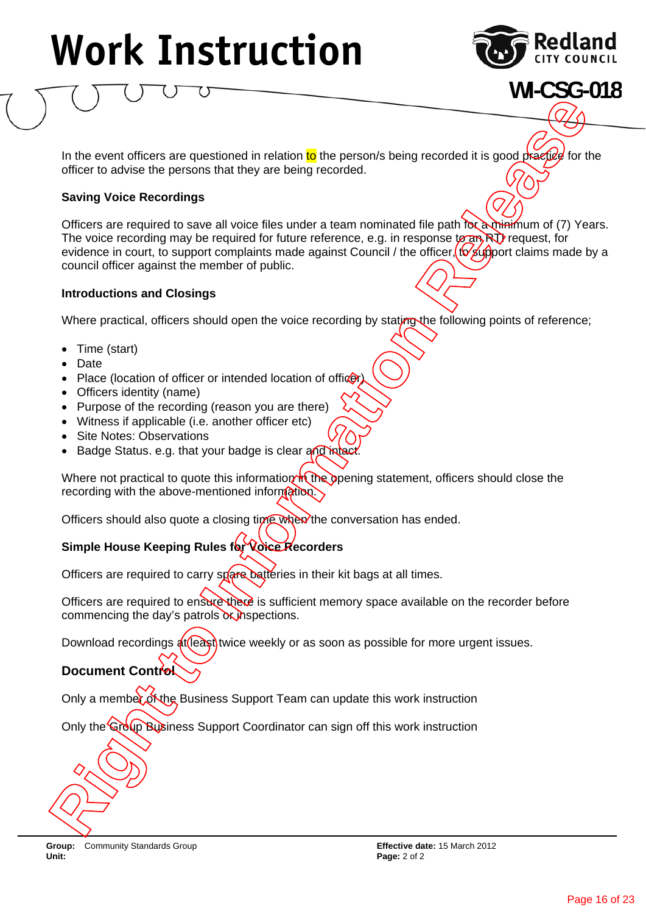

**WI-CSG-018**

In the event officers are questioned in relation to the person/s being recorded it is good practice for the officer to advise the persons that they are being recorded.

#### **Saving Voice Recordings**

Officers are required to save all voice files under a team nominated file path for a minimum of (7) Years. The voice recording may be required for future reference, e.g. in response to an RTI request, for evidence in court, to support complaints made against Council / the officer,  $t\sqrt{\frac{g(t)}{g(t)}}$  ort claims made by a council officer against the member of public. **Right to the Control of the Control of the Control of the Control of the Control of the Control of the Control of the Control of the Control of the Control of the Control of the Control of the Control of the Control of th** 

#### **Introductions and Closings**

Where practical, officers should open the voice recording by stating the following points of reference;

- Time (start)
- Date
- Place (location of officer or intended location of officer
- Officers identity (name)
- Purpose of the recording (reason you are there)
- Witness if applicable (i.e. another officer etc)
- Site Notes: Observations
- Badge Status. e.g. that your badge is clear and intact

Where not practical to quote this information in the opening statement, officers should close the recording with the above-mentioned information.

Officers should also quote a closing time when the conversation has ended.

### Simple House Keeping Rules for Voice Recorders

Officers are required to carry spare batteries in their kit bags at all times.

Officers are required to ensure there is sufficient memory space available on the recorder before commencing the day's patrols or inspections.

Download recordings  $\frac{4t}{(e\alpha s)}$  twice weekly or as soon as possible for more urgent issues.

### **Document Control**

Only a member of the Business Support Team can update this work instruction

Only the Group Business Support Coordinator can sign off this work instruction

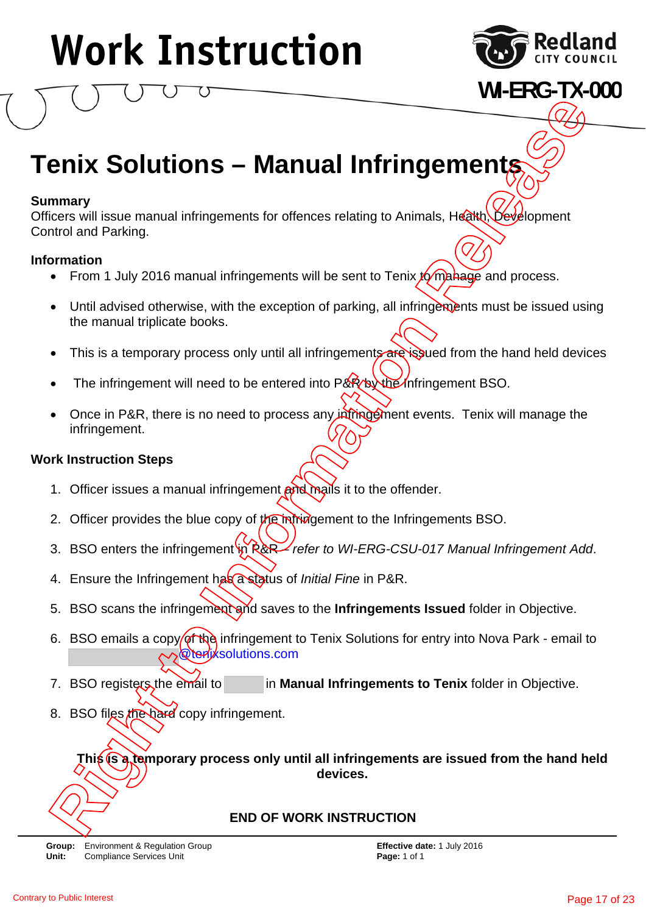

### **WI-ERG-TX-000**

### **Tenix Solutions – Manual Infringements**

### **Summary**

Officers will issue manual infringements for offences relating to Animals. Health, Development Control and Parking.

### **Information**

- From 1 July 2016 manual infringements will be sent to Tenix  $\sqrt{g}$  manage and process.
- Until advised otherwise, with the exception of parking, all infringements must be issued using the manual triplicate books.
- This is a temporary process only until all infringements are issued from the hand held devices
- The infringement will need to be entered into P&R by the Infringement BSO.
- Once in P&R, there is no need to process any intering of ments. Tenix will manage the infringement.

### **Work Instruction Steps**

- 1. Officer issues a manual infringement and mails it to the offender.
- 2. Officer provides the blue copy of the infringement to the Infringements BSO.
- 3. BSO enters the infringement in P&R *refer to WI-ERG-CSU-017 Manual Infringement Add.*
- 4. Ensure the Infringement has a status of *Initial Fine* in P&R.
- 5. BSO scans the infringement and saves to the **Infringements Issued** folder in Objective.
- 6. BSO emails a copy of the infringement to Tenix Solutions for entry into Nova Park email to @tenixsolutions.com **Right Solutions - Manual Infringements**<br> **Right Solutions - Manual Infringements**<br>
The Consequence will issue manual infiningements will be sent to Tenix (Columbar).<br> **Right Consequence in Panameters**<br> **Right To Thuly 201**
- 7. BSO registers the email to in **Manual Infringements to Tenix** folder in Objective.
- 8. BSO files the hard copy infringement.

**This is a temporary process only until all infringements are issued from the hand held devices.** 

### **END OF WORK INSTRUCTION**

**Group:** Environment & Regulation Group **Effective date:** 1 July 2016 **Unit:** Compliance Services Unit **Page: 1** of 1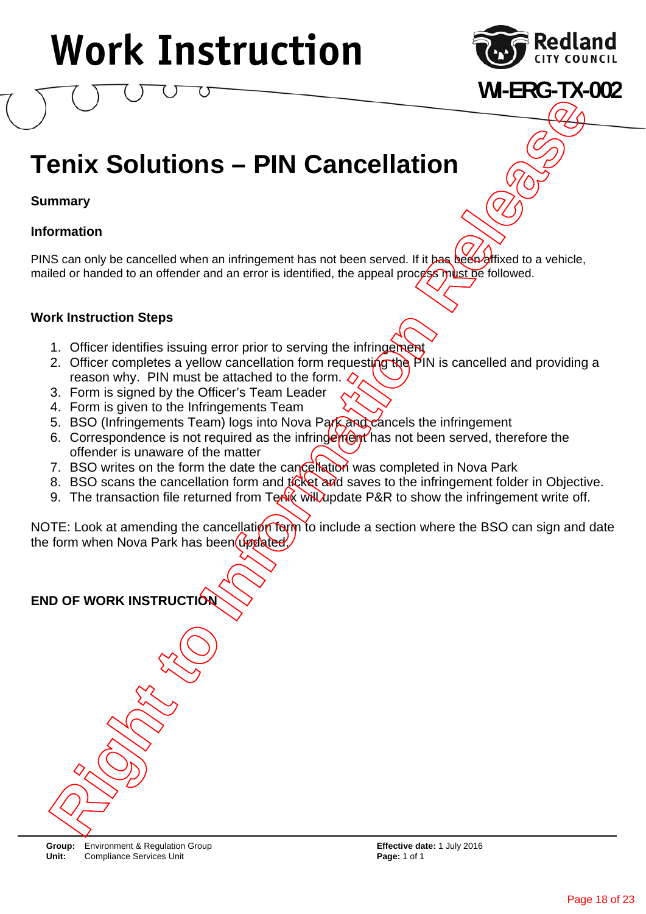

**WI-ERG-TX-002**

### **Tenix Solutions – PIN Cancellation**

**Summary** 

### **Information**

PINS can only be cancelled when an infringement has not been served. If it has been affixed to a vehicle, mailed or handed to an offender and an error is identified, the appeal process must be followed.

### **Work Instruction Steps**

- 1. Officer identifies issuing error prior to serving the infringement
- 2. Officer completes a yellow cancellation form requesting the PIN is cancelled and providing a reason why. PIN must be attached to the form.  $\Diamond$ **Right Solutions – PIN Cancellation**<br> **Right Solutions – PIN Cancellation**<br> **Right of the second of the animal stress control of the second of the second of the second of the second of the second of the second of the secon**
- 3. Form is signed by the Officer's Team Leader
- 4. Form is given to the Infringements Team
- 5. BSO (Infringements Team) logs into Nova Park and cancels the infringement
- 6. Correspondence is not required as the infringement has not been served, therefore the offender is unaware of the matter
- 7. BSO writes on the form the date the cancellation was completed in Nova Park
- 8. BSO scans the cancellation form and to the say is to the infringement folder in Objective.
- 9. The transaction file returned from Tenoty will update P&R to show the infringement write off.

NOTE: Look at amending the cancellation form to include a section where the BSO can sign and date the form when Nova Park has been updated.

**END OF WORK INSTRUCTION**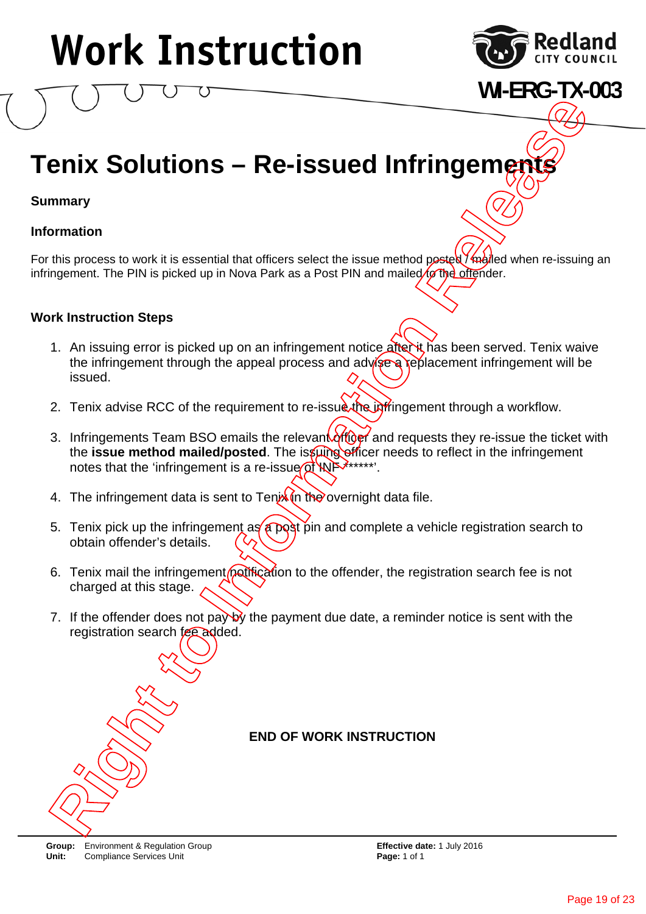

**WI-ERG-TX-003**

### **Tenix Solutions - Re-issued Infringemetry**

### **Summary**

### **Information**

For this process to work it is essential that officers select the issue method posted  $\frac{\partial}{\partial \alpha}$ led when re-issuing an infringement. The PIN is picked up in Nova Park as a Post PIN and mailed to the offender.

### **Work Instruction Steps**

- 1. An issuing error is picked up on an infringement notice after it has been served. Tenix waive the infringement through the appeal process and advise a replacement infringement will be issued.
- 2. Tenix advise RCC of the requirement to re-issue the infringement through a workflow.
- 3. Infringements Team BSO emails the relevant  $\frac{\partial f}{\partial \theta}$  and requests they re-issue the ticket with the **issue method mailed/posted**. The issuing officer needs to reflect in the infringement notes that the 'infringement is a re-issue  $\alpha$ <sup>t</sup> WF<sup>\*\*\*\*\*\*</sup>. **Right Solutions – Re-issued Infringement**<br>
The mathemation<br>
The process to work it is essential that officers select the issue method peele (*Kalyled when re-issuing a*<br>
the this process to work it is essential that offic
- 4. The infringement data is sent to Tenix  $\ln \log$  overnight data file.
- 5. Tenix pick up the infringement as a post pin and complete a vehicle registration search to obtain offender's details.
- 6. Tenix mail the infringement (potification to the offender, the registration search fee is not charged at this stage.
- 7. If the offender does not pay by the payment due date, a reminder notice is sent with the registration search fee added.

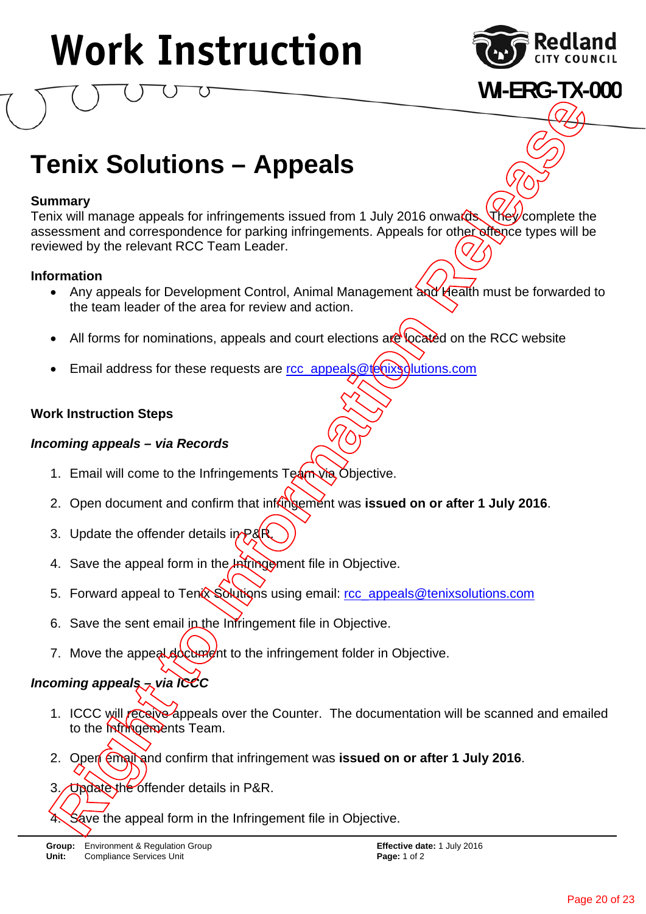

### **WI-ERG-TX-000**

### **Tenix Solutions – Appeals**

### **Summary**

Tenix will manage appeals for infringements issued from 1 July 2016 onwards. They complete the assessment and correspondence for parking infringements. Appeals for other offence types will be reviewed by the relevant RCC Team Leader. **ix Solutions — Appeals**<br> **is Solutions — Appeals**<br> **is any**<br> **information correspondence for participarments issued from 1 July 2016 onwards.**<br> **information Correspondence for participarments.** Appeals for other<br>
Altoms f

### **Information**

- Any appeals for Development Control, Animal Management and Health must be forwarded to the team leader of the area for review and action.
- All forms for nominations, appeals and court elections are located on the RCC website
- Email address for these requests are rcc\_appeals@tenixsolutions.com

### **Work Instruction Steps**

### *Incoming appeals – via Records*

- 1. Email will come to the Infringements Team via Objective.
- 2. Open document and confirm that infringement was **issued on or after 1 July 2016**.
- 3. Update the offender details in  $P\&R$
- 4. Save the appeal form in the Infringement file in Objective.
- 5. Forward appeal to Tenny Solutions using email: rcc\_appeals@tenixsolutions.com
- 6. Save the sent email in the Infringement file in Objective.
- 7. Move the appeal document to the infringement folder in Objective.

### *Incoming appeals – via ICCC*

- 1. ICCC will receive appeals over the Counter. The documentation will be scanned and emailed to the **Infringements** Team.
- 2. Open email and confirm that infringement was **issued on or after 1 July 2016**.
- 3. Update the offender details in P&R.<br>4. Save the appeal form in the Infringe
	- Save the appeal form in the Infringement file in Objective.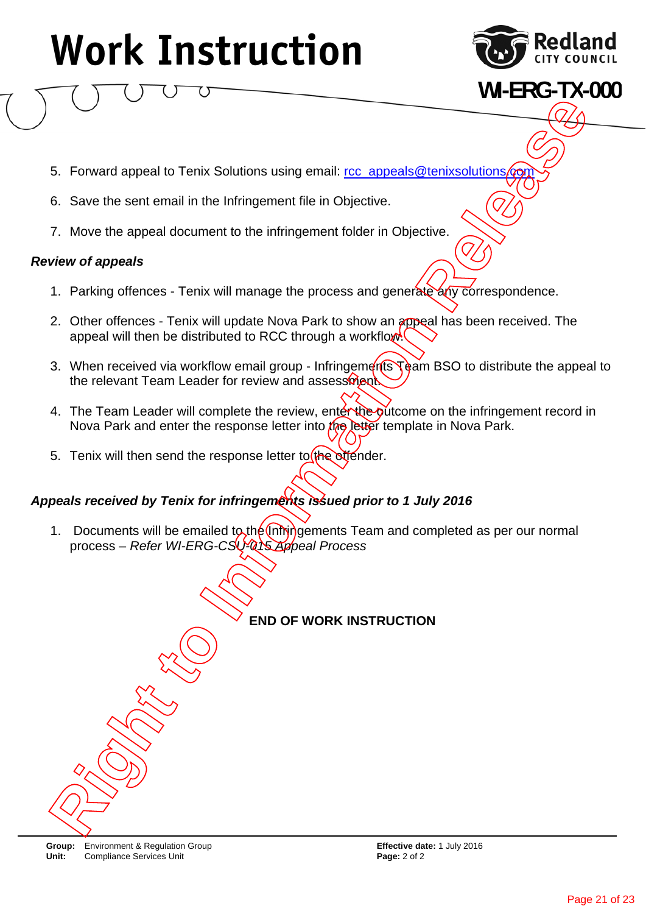

**WI-ERG-TX-000**

- 5. Forward appeal to Tenix Solutions using email: rcc\_appeals@tenixsolutions
- 6. Save the sent email in the Infringement file in Objective.
- 7. Move the appeal document to the infringement folder in Objective.

### *Review of appeals*

- 1. Parking offences Tenix will manage the process and generate any correspondence.
- 2. Other offences Tenix will update Nova Park to show an appeal has been received. The appeal will then be distributed to RCC through a workflow.
- 3. When received via workflow email group Infringements Team BSO to distribute the appeal to the relevant Team Leader for review and assessment. **Right to Internal Solutions using emial:** the appeals diversed diversed the Capacity of the Capacity of the Capacity of the Capacity of the Capacity of the Capacity of the Capacity of the Capacity of the Capacity of the C
- 4. The Team Leader will complete the review, enter the outcome on the infringement record in Nova Park and enter the response letter into  $t$  $\eta$ , letter template in Nova Park.
- 5. Tenix will then send the response letter to the offender.

### *Appeals received by Tenix for infringements issued prior to 1 July 2016*

1. Documents will be emailed to the  $\ln h$  gements Team and completed as per our normal process – *Refer WI-ERG-CSU-015 Appeal Process*

### **END OF WORK INSTRUCTION**

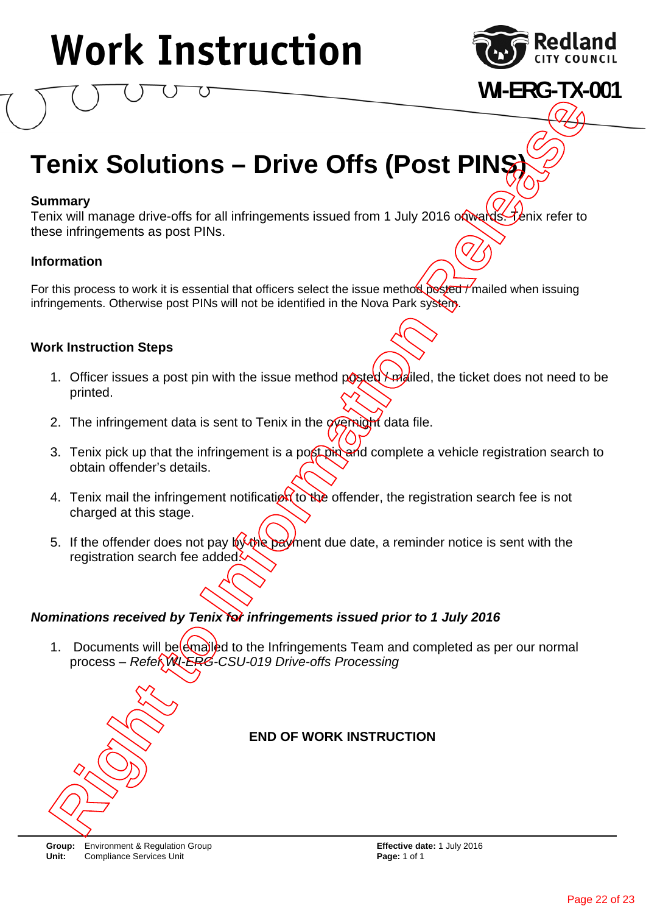

**WI-ERG-TX-001**

### **Tenix Solutions - Drive Offs (Post PINŞ**

### **Summary**

Tenix will manage drive-offs for all infringements issued from 1 July 2016 on wards. Tenix refer to these infringements as post PINs.

### **Information**

For this process to work it is essential that officers select the issue method posted / mailed when issuing infringements. Otherwise post PINs will not be identified in the Nova Park system.

### **Work Instruction Steps**

- 1. Officer issues a post pin with the issue method posted \ mailed, the ticket does not need to be printed.
- 2. The infringement data is sent to Tenix in the *derinight* data file.
- 3. Tenix pick up that the infringement is a post pin and complete a vehicle registration search to obtain offender's details.
- 4. Tenix mail the infringement notification to the offender, the registration search fee is not charged at this stage.
- 5. If the offender does not pay  $\sqrt{24}$   $\sqrt{24}$  ment due date, a reminder notice is sent with the registration search fee added.

### *Nominations received by Tenix for infringements issued prior to 1 July 2016*

1. Documents will be emailed to the Infringements Team and completed as per our normal process – *Refer WI-ERG-CSU-019 Drive-offs Processing*



### **END OF WORK INSTRUCTION**